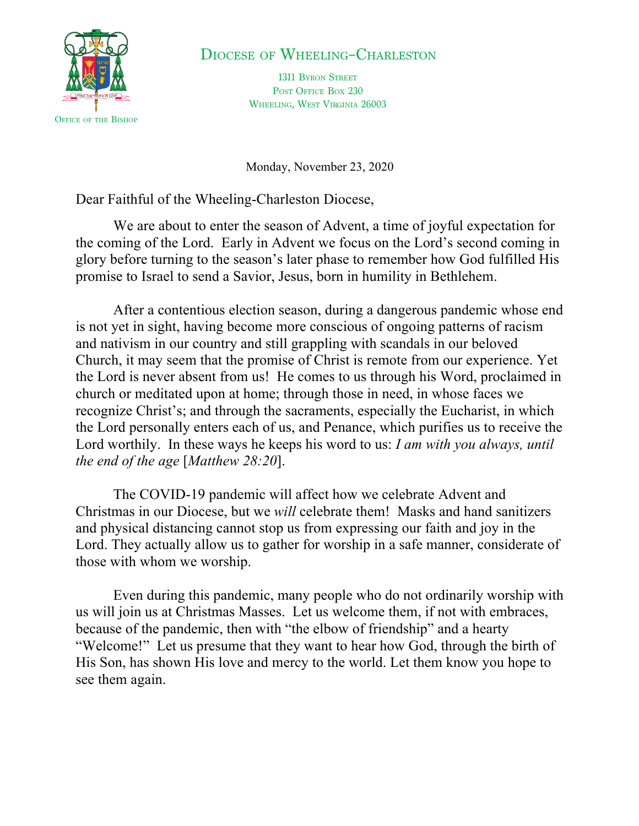

## DIOCESE OF WHEELING–CHARLESTON

1311 BYRON STREET POST OFFICE BOX 230 WHEELING, WEST VIRGINIA 26003

Monday, November 23, 2020

Dear Faithful of the Wheeling-Charleston Diocese,

We are about to enter the season of Advent, a time of joyful expectation for the coming of the Lord. Early in Advent we focus on the Lord's second coming in glory before turning to the season's later phase to remember how God fulfilled His promise to Israel to send a Savior, Jesus, born in humility in Bethlehem.

After a contentious election season, during a dangerous pandemic whose end is not yet in sight, having become more conscious of ongoing patterns of racism and nativism in our country and still grappling with scandals in our beloved Church, it may seem that the promise of Christ is remote from our experience. Yet the Lord is never absent from us! He comes to us through his Word, proclaimed in church or meditated upon at home; through those in need, in whose faces we recognize Christ's; and through the sacraments, especially the Eucharist, in which the Lord personally enters each of us, and Penance, which purifies us to receive the Lord worthily. In these ways he keeps his word to us: *I am with you always, until the end of the age* [*Matthew 28:20*].

The COVID-19 pandemic will affect how we celebrate Advent and Christmas in our Diocese, but we *will* celebrate them! Masks and hand sanitizers and physical distancing cannot stop us from expressing our faith and joy in the Lord. They actually allow us to gather for worship in a safe manner, considerate of those with whom we worship.

Even during this pandemic, many people who do not ordinarily worship with us will join us at Christmas Masses. Let us welcome them, if not with embraces, because of the pandemic, then with "the elbow of friendship" and a hearty "Welcome!" Let us presume that they want to hear how God, through the birth of His Son, has shown His love and mercy to the world. Let them know you hope to see them again.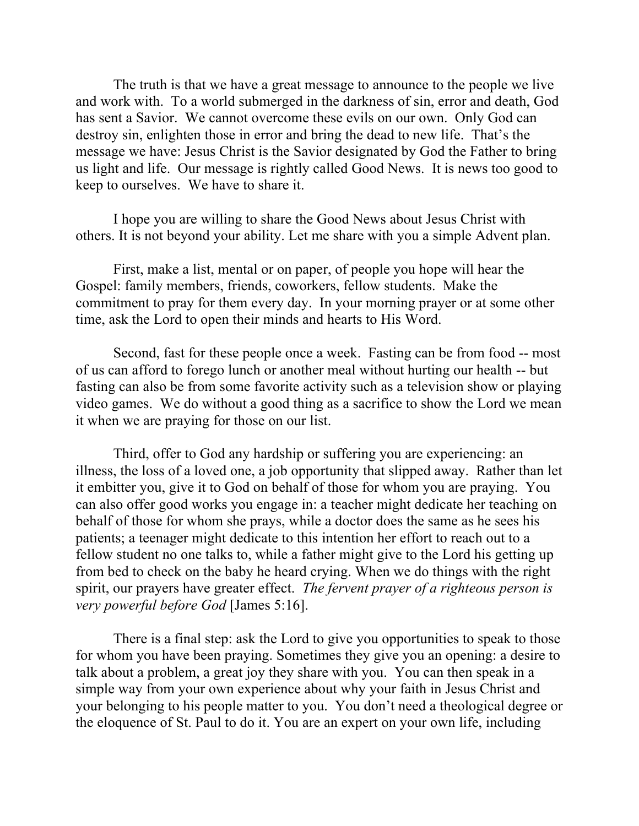The truth is that we have a great message to announce to the people we live and work with. To a world submerged in the darkness of sin, error and death, God has sent a Savior. We cannot overcome these evils on our own. Only God can destroy sin, enlighten those in error and bring the dead to new life. That's the message we have: Jesus Christ is the Savior designated by God the Father to bring us light and life. Our message is rightly called Good News. It is news too good to keep to ourselves. We have to share it.

I hope you are willing to share the Good News about Jesus Christ with others. It is not beyond your ability. Let me share with you a simple Advent plan.

First, make a list, mental or on paper, of people you hope will hear the Gospel: family members, friends, coworkers, fellow students. Make the commitment to pray for them every day. In your morning prayer or at some other time, ask the Lord to open their minds and hearts to His Word.

Second, fast for these people once a week. Fasting can be from food -- most of us can afford to forego lunch or another meal without hurting our health -- but fasting can also be from some favorite activity such as a television show or playing video games. We do without a good thing as a sacrifice to show the Lord we mean it when we are praying for those on our list.

Third, offer to God any hardship or suffering you are experiencing: an illness, the loss of a loved one, a job opportunity that slipped away. Rather than let it embitter you, give it to God on behalf of those for whom you are praying. You can also offer good works you engage in: a teacher might dedicate her teaching on behalf of those for whom she prays, while a doctor does the same as he sees his patients; a teenager might dedicate to this intention her effort to reach out to a fellow student no one talks to, while a father might give to the Lord his getting up from bed to check on the baby he heard crying. When we do things with the right spirit, our prayers have greater effect. *The fervent prayer of a righteous person is very powerful before God* [James 5:16].

There is a final step: ask the Lord to give you opportunities to speak to those for whom you have been praying. Sometimes they give you an opening: a desire to talk about a problem, a great joy they share with you. You can then speak in a simple way from your own experience about why your faith in Jesus Christ and your belonging to his people matter to you. You don't need a theological degree or the eloquence of St. Paul to do it. You are an expert on your own life, including